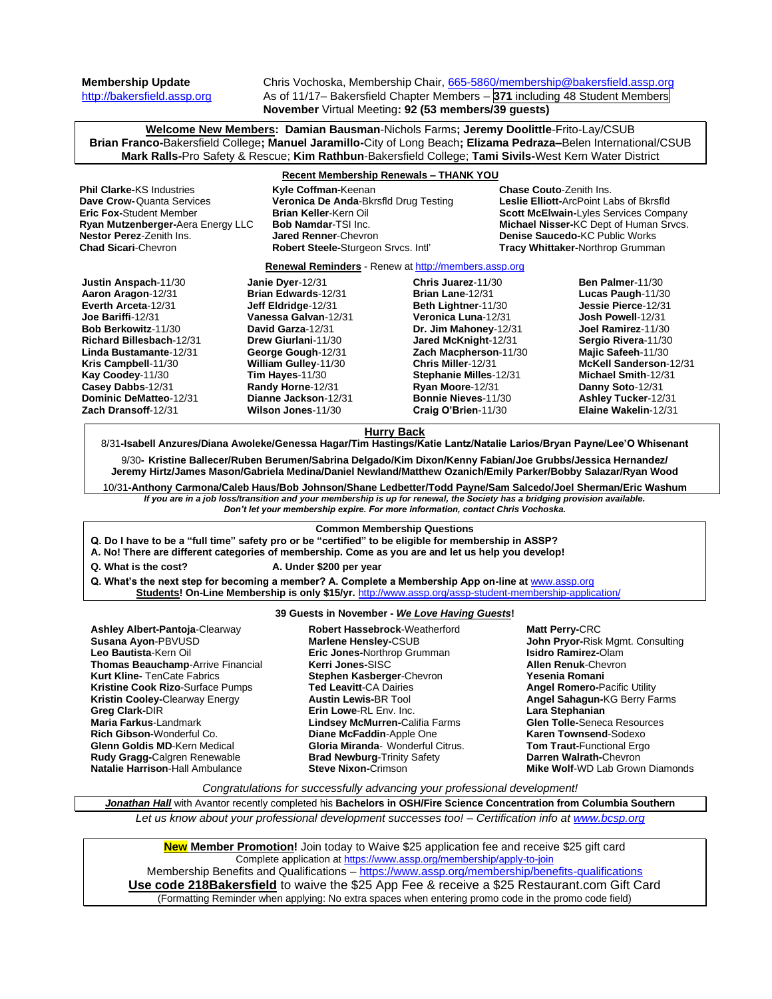**Membership Update** Chris Vochoska, Membership Chair, [665-5860/membership@bakersfield.assp.org](mailto:665-5860/membership@bakersfield.assp.org) [http://bakersfield.assp.org](http://bakersfield.assp.org/) As of 11/17– Bakersfield Chapter Members – **371** including 48 Student Members **November** Virtual Meeting**: 92 (53 members/39 guests)**

**Welcome New Members: Damian Bausman**-Nichols Farms**; Jeremy Doolittle**-Frito-Lay/CSUB **Brian Franco-**Bakersfield College**; Manuel Jaramillo-**City of Long Beach**; Elizama Pedraza–**Belen International/CSUB **Mark Ralls-**Pro Safety & Rescue; **Kim Rathbun**-Bakersfield College; **Tami Sivils-**West Kern Water District

# **Recent Membership Renewals – THANK YOU**

**Phil Clarke-KS** Industries **Kyle Coffman-**Keenan **Chase Couto-Zenith Ins.**<br> **Dave Crow-**Quanta Services **Comey Contains Communica De Anda-B**krsfld Drug Testing **Communication** Leslie Elliott-ArcPoint Labs of Bkrsfld **Dave Crow-**Quanta Services **Veronica De Anda-**Bkrsfld Drug Testing **Eric Fox-**Student Member **Brian Keller**-Kern Oil **Scott McElwain-**Lyles Services Company **Ryan Mutzenberger-**Aera Energy LLC **Bob Namdar-TSI Inc. Michael Nisser-KC Dept of Human Srvcs.**<br> **Nestor Perez-**Zenith Ins. **Jared Renner-**Chevron **Michael Denise Saucedo-KC Public Works Nestor Perez-Zenith Ins. Jared Renner-**Chevron **Denise Saucedo-KC Public Works**<br> **Chad Sicari-Chevron Denise Steele-Sturgeon Srvcs. Intl' Tracy Whittaker-Northrop Grumman Robert Steele-Sturgeon Srvcs. Intl' Renewal Reminders** - Renew a[t http://members.assp.org](http://members.assp.org/) **Justin Anspach**-11/30 **Aaron Aragon**-12/31 **Everth Arceta**-12/31 **Joe Bariffi**-12/31 **Bob Berkowitz**-11/30 **Richard Billesbach**-12/31 **Linda Bustamante**-12/31 **Kris Campbell**-11/30 **Kay Coodey**-11/30 **Casey Dabbs**-12/31 **Dominic DeMatteo**-12/31 **Zach Dransoff**-12/31 **Janie Dyer**-12/31 **Brian Edwards**-12/31 **Jeff Eldridge**-12/31 **Vanessa Galvan**-12/31 **David Garza**-12/31 **Drew Giurlani**-11/30 **George Gough**-12/31 **William Gulley**-11/30 **Tim Hayes**-11/30 **Randy Horne**-12/31 **Dianne Jackson**-12/31 **Wilson Jones**-11/30 **Chris Juarez**-11/30 **Brian Lane**-12/31 **Beth Lightner**-11/30 **Veronica Luna**-12/31 **Dr. Jim Mahoney**-12/31 **Jared McKnight**-12/31 **Zach Macpherson**-11/30 **Chris Miller**-12/31 **Stephanie Milles**-12/31 **Ryan Moore**-12/31 **Bonnie Nieves**-11/30 **Craig O'Brien**-11/30 **Ben Palmer**-11/30 **Lucas Paugh**-11/30 **Jessie Pierce**-12/31 **Josh Powell**-12/31 **Joel Ramirez**-11/30 **Sergio Rivera**-11/30 **Majic Safeeh**-11/30 **McKell Sanderson**-12/31 **Michael Smith**-12/31 **Danny Soto**-12/31 **Ashley Tucker**-12/31 **Elaine Wakelin**-12/31 **Hurry Back** 8/31**-Isabell Anzures/Diana Awoleke/Genessa Hagar/Tim Hastings/Katie Lantz/Natalie Larios/Bryan Payne/Lee'O Whisenant** 9/30**- Kristine Ballecer/Ruben Berumen/Sabrina Delgado/Kim Dixon/Kenny Fabian/Joe Grubbs/Jessica Hernandez/ Jeremy Hirtz/James Mason/Gabriela Medina/Daniel Newland/Matthew Ozanich/Emily Parker/Bobby Salazar/Ryan Wood** 10/31**-Anthony Carmona/Caleb Haus/Bob Johnson/Shane Ledbetter/Todd Payne/Sam Salcedo/Joel Sherman/Eric Washum** *If you are in a job loss/transition and your membership is up for renewal, the Society has a bridging provision available. Don't let your membership expire. For more information, contact Chris Vochoska.*  **Common Membership Questions Q. Do I have to be a "full time" safety pro or be "certified" to be eligible for membership in ASSP? A. No! There are different categories of membership. Come as you are and let us help you develop! Q. What is the cost? A. Under \$200 per year Q. What's the next step for becoming a member? A. Complete a Membership App on-line at** [www.assp.org](http://www.assp.org/) **Students! On-Line Membership is only \$15/yr.** <http://www.assp.org/assp-student-membership-application/>

## **39 Guests in November -** *We Love Having Guests***!**

**Ashley Albert-Pantoja**-Clearway **Susana Ayon**-PBVUSD **Leo Bautista**-Kern Oil **Thomas Beauchamp**-Arrive Financial **Kurt Kline-** TenCate Fabrics **Kristine Cook Rizo**-Surface Pumps **Kristin Cooley-**Clearway Energy **Greg Clark-**DIR **Maria Farkus**-Landmark **Rich Gibson-**Wonderful Co. **Glenn Goldis MD**-Kern Medical **Rudy Gragg-**Calgren Renewable **Natalie Harrison**-Hall Ambulance

**Robert Hassebrock**-Weatherford **Marlene Hensley-**CSUB **Eric Jones-**Northrop Grumman **Kerri Jones-**SISC **Stephen Kasberger**-Chevron **Ted Leavitt**-CA Dairies **Austin Lewis-**BR Tool **Erin Lowe**-RL Env. Inc. **Lindsey McMurren-**Califia Farms **Diane McFaddin**-Apple One **Gloria Miranda**- Wonderful Citrus. **Brad Newburg**-Trinity Safety **Steve Nixon-**Crimson

**Matt Perry-**CRC **John Pryor-**Risk Mgmt. Consulting **Isidro Ramirez-**Olam **Allen Renuk**-Chevron **Yesenia Romani Angel Romero-**Pacific Utility **Angel Sahagun-**KG Berry Farms **Lara Stephanian Glen Tolle-**Seneca Resources **Karen Townsend**-Sodexo **Tom Traut-**Functional Ergo **Darren Walrath-**Chevron **Mike Wolf**-WD Lab Grown Diamonds

*Congratulations for successfully advancing your professional development!*

*Jonathan Hall* with Avantor recently completed his **Bachelors in OSH/Fire Science Concentration from Columbia Southern**

*Let us know about your professional development successes too! – Certification info at [www.bcsp.org](http://www.bcsp.org/)*

**New Member Promotion!** Join today to Waive \$25 application fee and receive \$25 gift card Complete application at<https://www.assp.org/membership/apply-to-join> Membership Benefits and Qualifications – <https://www.assp.org/membership/benefits-qualifications> **Use code 218Bakersfield** to waive the \$25 App Fee & receive a \$25 Restaurant.com Gift Card (Formatting Reminder when applying: No extra spaces when entering promo code in the promo code field)